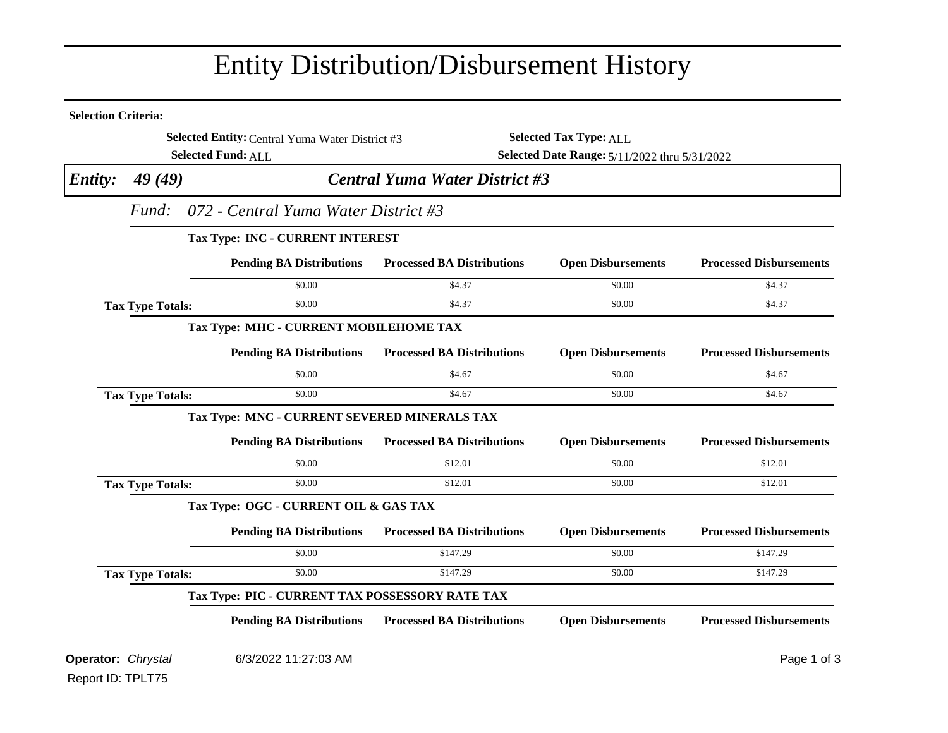## Entity Distribution/Disbursement History

| <b>Selection Criteria:</b> |                                                                                                  |                                                 |                                               |                               |                                |  |  |
|----------------------------|--------------------------------------------------------------------------------------------------|-------------------------------------------------|-----------------------------------------------|-------------------------------|--------------------------------|--|--|
|                            |                                                                                                  | Selected Entity: Central Yuma Water District #3 |                                               | <b>Selected Tax Type: ALL</b> |                                |  |  |
|                            |                                                                                                  | <b>Selected Fund: ALL</b>                       | Selected Date Range: 5/11/2022 thru 5/31/2022 |                               |                                |  |  |
| <i>Entity:</i>             | <b>Central Yuma Water District #3</b><br>49(49)<br>072 - Central Yuma Water District #3<br>Fund: |                                                 |                                               |                               |                                |  |  |
|                            |                                                                                                  |                                                 |                                               |                               |                                |  |  |
|                            | <b>Tax Type: INC - CURRENT INTEREST</b>                                                          |                                                 |                                               |                               |                                |  |  |
|                            |                                                                                                  | <b>Pending BA Distributions</b>                 | <b>Processed BA Distributions</b>             | <b>Open Disbursements</b>     | <b>Processed Disbursements</b> |  |  |
|                            |                                                                                                  | \$0.00                                          | \$4.37                                        | \$0.00                        | \$4.37                         |  |  |
|                            | <b>Tax Type Totals:</b>                                                                          | \$0.00                                          | \$4.37                                        | \$0.00                        | \$4.37                         |  |  |
|                            |                                                                                                  | Tax Type: MHC - CURRENT MOBILEHOME TAX          |                                               |                               |                                |  |  |
|                            |                                                                                                  | <b>Pending BA Distributions</b>                 | <b>Processed BA Distributions</b>             | <b>Open Disbursements</b>     | <b>Processed Disbursements</b> |  |  |
|                            |                                                                                                  | \$0.00                                          | \$4.67                                        | \$0.00                        | \$4.67                         |  |  |
|                            | <b>Tax Type Totals:</b>                                                                          | \$0.00                                          | \$4.67                                        | \$0.00                        | \$4.67                         |  |  |
|                            |                                                                                                  | Tax Type: MNC - CURRENT SEVERED MINERALS TAX    |                                               |                               |                                |  |  |
|                            |                                                                                                  | <b>Pending BA Distributions</b>                 | <b>Processed BA Distributions</b>             | <b>Open Disbursements</b>     | <b>Processed Disbursements</b> |  |  |
|                            |                                                                                                  | \$0.00                                          | \$12.01                                       | \$0.00                        | \$12.01                        |  |  |
|                            | <b>Tax Type Totals:</b>                                                                          | \$0.00                                          | \$12.01                                       | \$0.00                        | \$12.01                        |  |  |
|                            | Tax Type: OGC - CURRENT OIL & GAS TAX                                                            |                                                 |                                               |                               |                                |  |  |
|                            |                                                                                                  | <b>Pending BA Distributions</b>                 | <b>Processed BA Distributions</b>             | <b>Open Disbursements</b>     | <b>Processed Disbursements</b> |  |  |
|                            |                                                                                                  | \$0.00                                          | \$147.29                                      | \$0.00                        | \$147.29                       |  |  |
|                            | <b>Tax Type Totals:</b>                                                                          | \$0.00                                          | \$147.29                                      | \$0.00                        | \$147.29                       |  |  |
|                            | Tax Type: PIC - CURRENT TAX POSSESSORY RATE TAX                                                  |                                                 |                                               |                               |                                |  |  |
|                            |                                                                                                  | <b>Pending BA Distributions</b>                 | <b>Processed BA Distributions</b>             | <b>Open Disbursements</b>     | <b>Processed Disbursements</b> |  |  |
| Operator: Chrystal         |                                                                                                  | 6/3/2022 11:27:03 AM                            |                                               |                               | Page 1 of 3                    |  |  |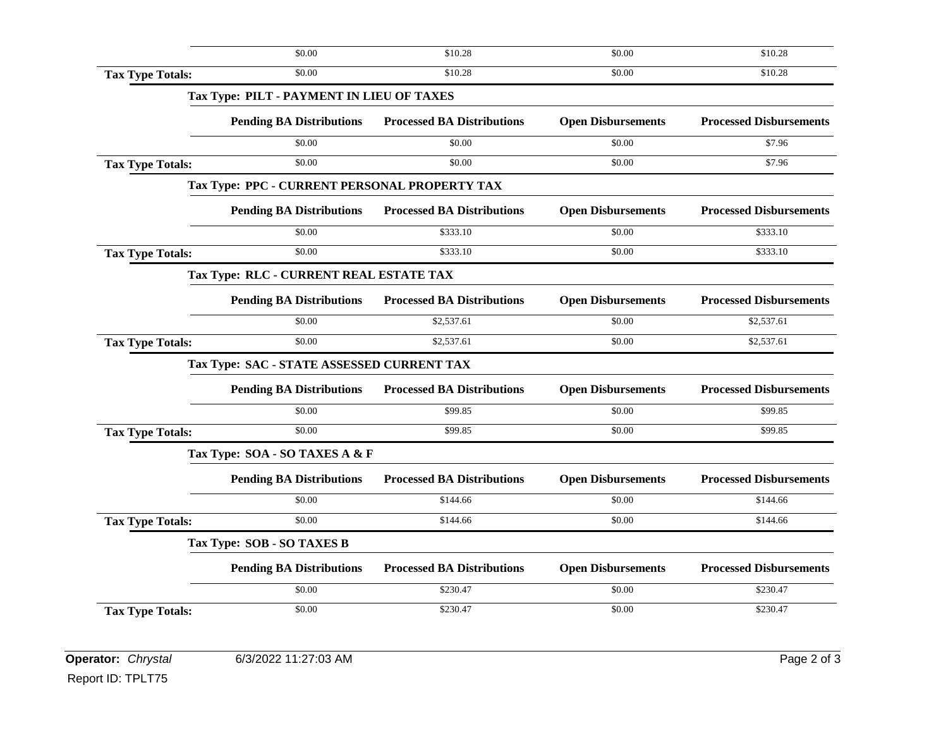|                         | \$0.00                                        | \$10.28                           | \$0.00                    | \$10.28                        |
|-------------------------|-----------------------------------------------|-----------------------------------|---------------------------|--------------------------------|
| <b>Tax Type Totals:</b> | \$0.00                                        | \$10.28                           | \$0.00                    | \$10.28                        |
|                         | Tax Type: PILT - PAYMENT IN LIEU OF TAXES     |                                   |                           |                                |
|                         | <b>Pending BA Distributions</b>               | <b>Processed BA Distributions</b> | <b>Open Disbursements</b> | <b>Processed Disbursements</b> |
|                         | \$0.00                                        | \$0.00                            | \$0.00                    | \$7.96                         |
| <b>Tax Type Totals:</b> | \$0.00                                        | \$0.00                            | \$0.00                    | \$7.96                         |
|                         | Tax Type: PPC - CURRENT PERSONAL PROPERTY TAX |                                   |                           |                                |
|                         | <b>Pending BA Distributions</b>               | <b>Processed BA Distributions</b> | <b>Open Disbursements</b> | <b>Processed Disbursements</b> |
|                         | \$0.00                                        | \$333.10                          | \$0.00                    | \$333.10                       |
| <b>Tax Type Totals:</b> | \$0.00                                        | \$333.10                          | \$0.00                    | \$333.10                       |
|                         | Tax Type: RLC - CURRENT REAL ESTATE TAX       |                                   |                           |                                |
|                         | <b>Pending BA Distributions</b>               | <b>Processed BA Distributions</b> | <b>Open Disbursements</b> | <b>Processed Disbursements</b> |
|                         | \$0.00                                        | \$2,537.61                        | \$0.00                    | \$2,537.61                     |
| <b>Tax Type Totals:</b> | \$0.00                                        | \$2,537.61                        | \$0.00                    | \$2,537.61                     |
|                         | Tax Type: SAC - STATE ASSESSED CURRENT TAX    |                                   |                           |                                |
|                         | <b>Pending BA Distributions</b>               | <b>Processed BA Distributions</b> | <b>Open Disbursements</b> | <b>Processed Disbursements</b> |
|                         | \$0.00                                        | \$99.85                           | \$0.00                    | \$99.85                        |
| <b>Tax Type Totals:</b> | \$0.00                                        | \$99.85                           | \$0.00                    | \$99.85                        |
|                         | Tax Type: SOA - SO TAXES A & F                |                                   |                           |                                |
|                         | <b>Pending BA Distributions</b>               | <b>Processed BA Distributions</b> | <b>Open Disbursements</b> | <b>Processed Disbursements</b> |
|                         | \$0.00                                        | \$144.66                          | \$0.00                    | \$144.66                       |
| <b>Tax Type Totals:</b> | \$0.00                                        | \$144.66                          | \$0.00                    | \$144.66                       |
|                         | Tax Type: SOB - SO TAXES B                    |                                   |                           |                                |
|                         | <b>Pending BA Distributions</b>               | <b>Processed BA Distributions</b> | <b>Open Disbursements</b> | <b>Processed Disbursements</b> |
|                         | \$0.00                                        | \$230.47                          | \$0.00                    | \$230.47                       |
| <b>Tax Type Totals:</b> | \$0.00                                        | \$230.47                          | \$0.00                    | \$230.47                       |